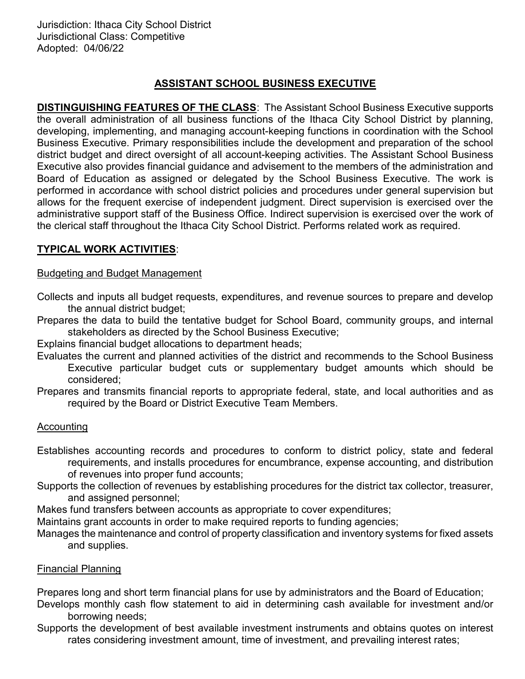## ASSISTANT SCHOOL BUSINESS EXECUTIVE

DISTINGUISHING FEATURES OF THE CLASS: The Assistant School Business Executive supports the overall administration of all business functions of the Ithaca City School District by planning, developing, implementing, and managing account-keeping functions in coordination with the School Business Executive. Primary responsibilities include the development and preparation of the school district budget and direct oversight of all account-keeping activities. The Assistant School Business Executive also provides financial guidance and advisement to the members of the administration and Board of Education as assigned or delegated by the School Business Executive. The work is performed in accordance with school district policies and procedures under general supervision but allows for the frequent exercise of independent judgment. Direct supervision is exercised over the administrative support staff of the Business Office. Indirect supervision is exercised over the work of the clerical staff throughout the Ithaca City School District. Performs related work as required.

## TYPICAL WORK ACTIVITIES:

#### Budgeting and Budget Management

- Collects and inputs all budget requests, expenditures, and revenue sources to prepare and develop the annual district budget;
- Prepares the data to build the tentative budget for School Board, community groups, and internal stakeholders as directed by the School Business Executive;

Explains financial budget allocations to department heads;

- Evaluates the current and planned activities of the district and recommends to the School Business Executive particular budget cuts or supplementary budget amounts which should be considered;
- Prepares and transmits financial reports to appropriate federal, state, and local authorities and as required by the Board or District Executive Team Members.

### Accounting

- Establishes accounting records and procedures to conform to district policy, state and federal requirements, and installs procedures for encumbrance, expense accounting, and distribution of revenues into proper fund accounts;
- Supports the collection of revenues by establishing procedures for the district tax collector, treasurer, and assigned personnel;
- Makes fund transfers between accounts as appropriate to cover expenditures;

Maintains grant accounts in order to make required reports to funding agencies;

Manages the maintenance and control of property classification and inventory systems for fixed assets and supplies.

### Financial Planning

Prepares long and short term financial plans for use by administrators and the Board of Education;

- Develops monthly cash flow statement to aid in determining cash available for investment and/or borrowing needs;
- Supports the development of best available investment instruments and obtains quotes on interest rates considering investment amount, time of investment, and prevailing interest rates;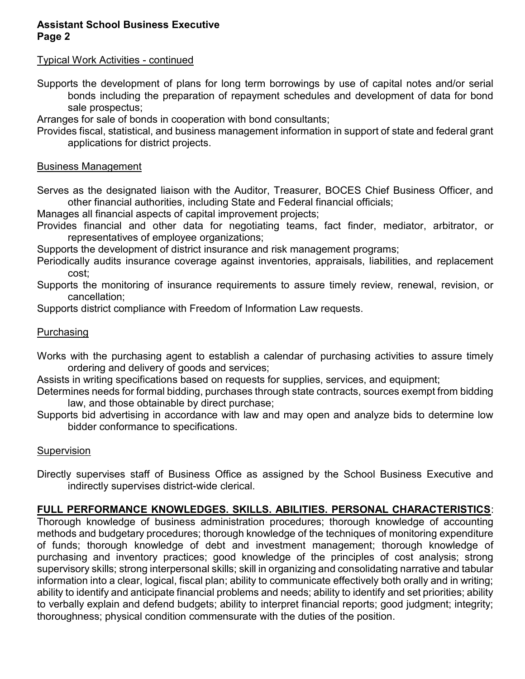### Assistant School Business Executive Page 2

### Typical Work Activities - continued

Supports the development of plans for long term borrowings by use of capital notes and/or serial bonds including the preparation of repayment schedules and development of data for bond sale prospectus;

Arranges for sale of bonds in cooperation with bond consultants;

Provides fiscal, statistical, and business management information in support of state and federal grant applications for district projects.

### Business Management

Serves as the designated liaison with the Auditor, Treasurer, BOCES Chief Business Officer, and other financial authorities, including State and Federal financial officials;

Manages all financial aspects of capital improvement projects;

Provides financial and other data for negotiating teams, fact finder, mediator, arbitrator, or representatives of employee organizations;

Supports the development of district insurance and risk management programs;

Periodically audits insurance coverage against inventories, appraisals, liabilities, and replacement cost;

Supports the monitoring of insurance requirements to assure timely review, renewal, revision, or cancellation;

Supports district compliance with Freedom of Information Law requests.

## **Purchasing**

Works with the purchasing agent to establish a calendar of purchasing activities to assure timely ordering and delivery of goods and services;

Assists in writing specifications based on requests for supplies, services, and equipment;

- Determines needs for formal bidding, purchases through state contracts, sources exempt from bidding law, and those obtainable by direct purchase;
- Supports bid advertising in accordance with law and may open and analyze bids to determine low bidder conformance to specifications.

## **Supervision**

Directly supervises staff of Business Office as assigned by the School Business Executive and indirectly supervises district-wide clerical.

# FULL PERFORMANCE KNOWLEDGES. SKILLS. ABILITIES. PERSONAL CHARACTERISTICS:

Thorough knowledge of business administration procedures; thorough knowledge of accounting methods and budgetary procedures; thorough knowledge of the techniques of monitoring expenditure of funds; thorough knowledge of debt and investment management; thorough knowledge of purchasing and inventory practices; good knowledge of the principles of cost analysis; strong supervisory skills; strong interpersonal skills; skill in organizing and consolidating narrative and tabular information into a clear, logical, fiscal plan; ability to communicate effectively both orally and in writing; ability to identify and anticipate financial problems and needs; ability to identify and set priorities; ability to verbally explain and defend budgets; ability to interpret financial reports; good judgment; integrity; thoroughness; physical condition commensurate with the duties of the position.